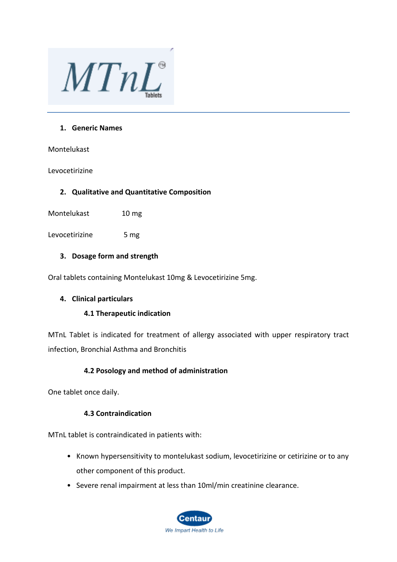

#### **1. Generic Names**

Montelukast

#### Levocetirizine

## **2. Qualitative and Quantitative Composition**

Montelukast 10 mg

Levocetirizine 5 mg

## **3. Dosage form and strength**

Oral tablets containing Montelukast 10mg & Levocetirizine 5mg.

## **4. Clinical particulars**

## **4.1 Therapeutic indication**

MTnL Tablet is indicated for treatment of allergy associated with upper respiratory tract infection, Bronchial Asthma and Bronchitis

# **4.2 Posology and method of administration**

One tablet once daily.

# **4.3 Contraindication**

MTnL tablet is contraindicated in patients with:

- Known hypersensitivity to montelukast sodium, levocetirizine or cetirizine or to any other component of this product.
- Severe renal impairment at less than 10ml/min creatinine clearance.

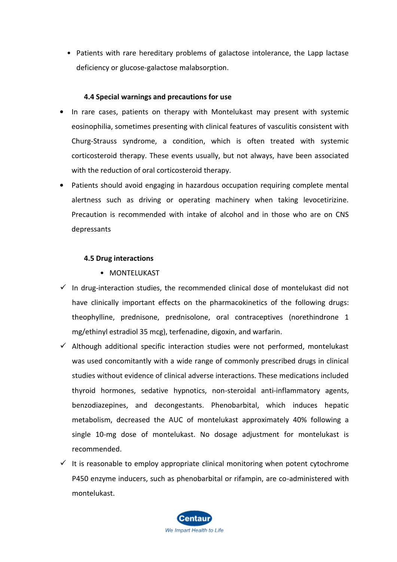• Patients with rare hereditary problems of galactose intolerance, the Lapp lactase deficiency or glucose-galactose malabsorption.

## **4.4 Special warnings and precautions for use**

- **•** In rare cases, patients on therapy with Montelukast may present with systemic eosinophilia, sometimes presenting with clinical features of vasculitis consistent with Churg-Strauss syndrome, a condition, which is often treated with systemic corticosteroid therapy. These events usually, but not always, have been associated with the reduction of oral corticosteroid therapy.
- **•** Patients should avoid engaging in hazardous occupation requiring complete mental alertness such as driving or operating machinery when taking levocetirizine. Precaution is recommended with intake of alcohol and in those who are on CNS depressants

#### **4.5 Drug interactions**

- MONTELUKAST
- $\checkmark$  In drug-interaction studies, the recommended clinical dose of montelukast did not have clinically important effects on the pharmacokinetics of the following drugs: theophylline, prednisone, prednisolone, oral contraceptives (norethindrone 1 mg/ethinyl estradiol 35 mcg), terfenadine, digoxin, and warfarin.
- $\checkmark$  Although additional specific interaction studies were not performed, montelukast was used concomitantly with a wide range of commonly prescribed drugs in clinical studies without evidence of clinical adverse interactions. These medications included thyroid hormones, sedative hypnotics, non-steroidal anti-inflammatory agents, benzodiazepines, and decongestants. Phenobarbital, which induces hepatic metabolism, decreased the AUC of montelukast approximately 40% following a single 10-mg dose of montelukast. No dosage adjustment for montelukast is recommended.
- $\checkmark$  It is reasonable to employ appropriate clinical monitoring when potent cytochrome P450 enzyme inducers, such as phenobarbital or rifampin, are co-administered with montelukast.

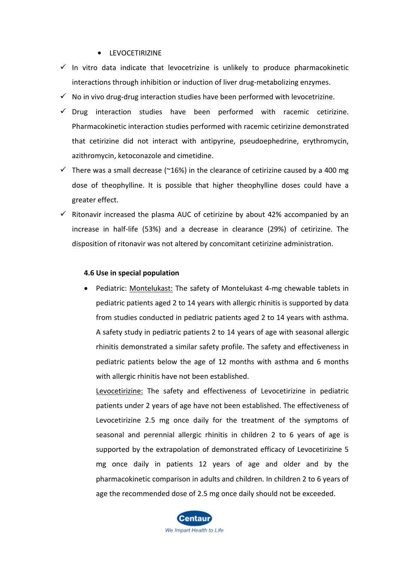#### **•** LEVOCETIRIZINE

- $\checkmark$  In vitro data indicate that levocetrizine is unlikely to produce pharmacokinetic interactions through inhibition or induction of liver drug-metabolizing enzymes.
- $\checkmark$  No in vivo drug-drug interaction studies have been performed with levocetrizine.
- $\checkmark$  Drug interaction studies have been performed with racemic cetirizine. Pharmacokinetic interaction studies performed with racemic cetirizine demonstrated that cetirizine did not interact with antipyrine, pseudoephedrine, erythromycin, azithromycin, ketoconazole and cimetidine.
- $\checkmark$  There was a small decrease (~16%) in the clearance of cetirizine caused by a 400 mg dose of theophylline. It is possible that higher theophylline doses could have a greater effect.
- $\checkmark$  Ritonavir increased the plasma AUC of cetirizine by about 42% accompanied by an increase in half-life (53%) and a decrease in clearance (29%) of cetirizine. The disposition of ritonavir was not altered by concomitant cetirizine administration.

#### **4.6 Use in special population**

• Pediatric: Montelukast: The safety of Montelukast 4-mg chewable tablets in pediatric patients aged 2 to 14 years with allergic rhinitis is supported by data from studies conducted in pediatric patients aged 2 to 14 years with asthma. A safety study in pediatric patients 2 to 14 years of age with seasonal allergic rhinitis demonstrated a similar safety profile. The safety and effectiveness in pediatric patients below the age of 12 months with asthma and 6 months with allergic rhinitis have not been established.

Levocetirizine: The safety and effectiveness of Levocetirizine in pediatric patients under 2 years of age have not been established. The effectiveness of Levocetirizine 2.5 mg once daily for the treatment of the symptoms of seasonal and perennial allergic rhinitis in children 2 to 6 years of age is supported by the extrapolation of demonstrated efficacy of Levocetirizine 5 mg once daily in patients 12 years of age and older and by the pharmacokinetic comparison in adults and children. In children 2 to 6 years of age the recommended dose of 2.5 mg once daily should not be exceeded.

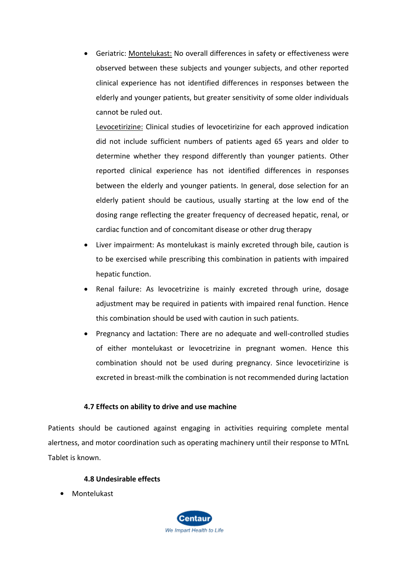• Geriatric: Montelukast: No overall differences in safety or effectiveness were observed between these subjects and younger subjects, and other reported clinical experience has not identified differences in responses between the elderly and younger patients, but greater sensitivity of some older individuals cannot be ruled out.

Levocetirizine: Clinical studies of levocetirizine for each approved indication did not include sufficient numbers of patients aged 65 years and older to determine whether they respond differently than younger patients. Other reported clinical experience has not identified differences in responses between the elderly and younger patients. In general, dose selection for an elderly patient should be cautious, usually starting at the low end of the dosing range reflecting the greater frequency of decreased hepatic, renal, or cardiac function and of concomitant disease or other drug therapy

- Liver impairment: As montelukast is mainly excreted through bile, caution is to be exercised while prescribing this combination in patients with impaired hepatic function.
- Renal failure: As levocetrizine is mainly excreted through urine, dosage adjustment may be required in patients with impaired renal function. Hence this combination should be used with caution in such patients.
- Pregnancy and lactation: There are no adequate and well-controlled studies of either montelukast or levocetrizine in pregnant women. Hence this combination should not be used during pregnancy. Since levocetirizine is excreted in breast-milk the combination is not recommended during lactation

# **4.7 Effects on ability to drive and use machine**

Patients should be cautioned against engaging in activities requiring complete mental alertness, and motor coordination such as operating machinery until their response to MTnL Tablet is known.

## **4.8 Undesirable effects**

**•** Montelukast

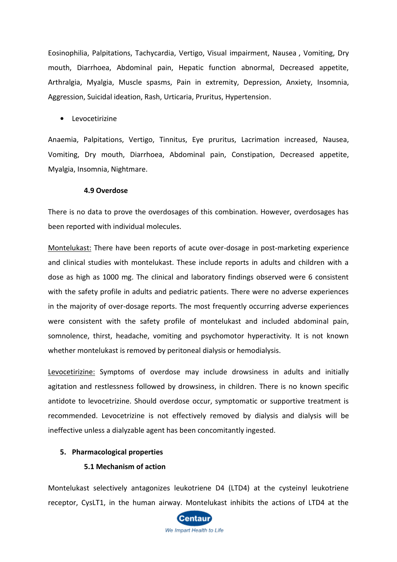Eosinophilia, Palpitations, Tachycardia, Vertigo, Visual impairment, Nausea , Vomiting, Dry mouth, Diarrhoea, Abdominal pain, Hepatic function abnormal, Decreased appetite, Arthralgia, Myalgia, Muscle spasms, Pain in extremity, Depression, Anxiety, Insomnia, Aggression, Suicidal ideation, Rash, Urticaria, Pruritus, Hypertension.

**•** Levocetirizine

Anaemia, Palpitations, Vertigo, Tinnitus, Eye pruritus, Lacrimation increased, Nausea, Vomiting, Dry mouth, Diarrhoea, Abdominal pain, Constipation, Decreased appetite, Myalgia, Insomnia, Nightmare.

#### **4.9 Overdose**

There is no data to prove the overdosages of this combination. However, overdosages has been reported with individual molecules.

Montelukast: There have been reports of acute over-dosage in post-marketing experience and clinical studies with montelukast. These include reports in adults and children with a dose as high as 1000 mg. The clinical and laboratory findings observed were 6 consistent with the safety profile in adults and pediatric patients. There were no adverse experiences in the majority of over-dosage reports. The most frequently occurring adverse experiences were consistent with the safety profile of montelukast and included abdominal pain, somnolence, thirst, headache, vomiting and psychomotor hyperactivity. It is not known whether montelukast is removed by peritoneal dialysis or hemodialysis.

Levocetirizine: Symptoms of overdose may include drowsiness in adults and initially agitation and restlessness followed by drowsiness, in children. There is no known specific antidote to levocetrizine. Should overdose occur, symptomatic or supportive treatment is recommended. Levocetrizine is not effectively removed by dialysis and dialysis will be ineffective unless a dialyzable agent has been concomitantly ingested.

## **5. Pharmacological properties**

#### **5.1 Mechanism of action**

Montelukast selectively antagonizes leukotriene D4 (LTD4) at the cysteinyl leukotriene receptor, CysLT1, in the human airway. Montelukast inhibits the actions of LTD4 at the

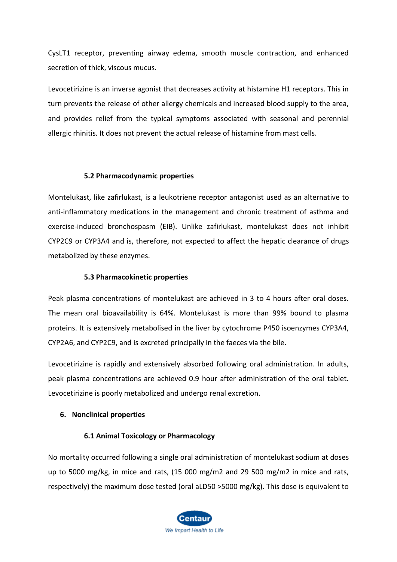CysLT1 receptor, preventing airway edema, smooth muscle contraction, and enhanced secretion of thick, viscous mucus.

Levocetirizine is an inverse agonist that decreases activity at histamine H1 receptors. This in turn prevents the release of other allergy chemicals and increased blood supply to the area, and provides relief from the typical symptoms associated with seasonal and perennial allergic rhinitis. It does not prevent the actual release of histamine from mast cells.

#### **5.2 Pharmacodynamic properties**

Montelukast, like zafirlukast, is a leukotriene receptor antagonist used as an alternative to anti-inflammatory medications in the management and chronic treatment of asthma and exercise-induced bronchospasm (EIB). Unlike zafirlukast, montelukast does not inhibit CYP2C9 or CYP3A4 and is, therefore, not expected to affect the hepatic clearance of drugs metabolized by these enzymes.

#### **5.3 Pharmacokinetic properties**

Peak plasma concentrations of montelukast are achieved in 3 to 4 hours after oral doses. The mean oral bioavailability is 64%. Montelukast is more than 99% bound to plasma proteins. It is extensively metabolised in the liver by cytochrome P450 isoenzymes CYP3A4, CYP2A6, and CYP2C9, and is excreted principally in the faeces via the bile.

Levocetirizine is rapidly and extensively absorbed following oral administration. In adults, peak plasma concentrations are achieved 0.9 hour after administration of the oral tablet. Levocetirizine is poorly metabolized and undergo renal excretion.

## **6. Nonclinical properties**

## **6.1 Animal Toxicology or Pharmacology**

No mortality occurred following a single oral administration of montelukast sodium at doses up to 5000 mg/kg, in mice and rats, (15 000 mg/m2 and 29 500 mg/m2 in mice and rats, respectively) the maximum dose tested (oral aLD50 >5000 mg/kg). This dose is equivalent to

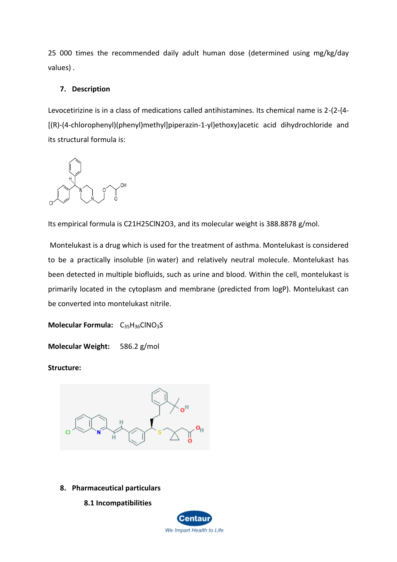25 000 times the recommended daily adult human dose (determined using mg/kg/day values) .

## **7. Description**

Levocetirizine is in a class of medications called antihistamines. Its chemical name is 2-(2-{4- [(R)-(4-chlorophenyl)(phenyl)methyl]piperazin-1-yl}ethoxy)acetic acid dihydrochloride and its structural formula is:

0H

Its empirical formula is C21H25ClN2O3, and its molecular weight is 388.8878 g/mol.

Montelukast is a drug which is used for the treatment of asthma. Montelukast is considered to be a practically insoluble (in water) and relatively neutral molecule. Montelukast has been detected in multiple biofluids, such as urine and blood. Within the cell, montelukast is primarily located in the cytoplasm and membrane (predicted from logP). Montelukast can be converted into montelukast nitrile.

**Molecular Formula:** C<sub>35</sub>H<sub>36</sub>ClNO<sub>3</sub>S

**Molecular Weight:** 586.2 g/mol

**Structure:**



- **8. Pharmaceutical particulars**
	- **8.1 Incompatibilities**

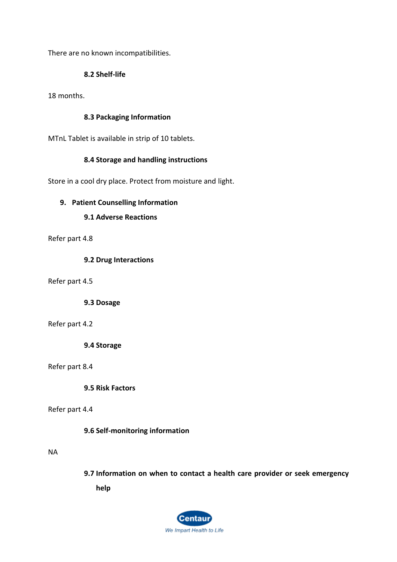There are no known incompatibilities.

## **8.2 Shelf-life**

18 months.

## **8.3 Packaging Information**

MTnL Tablet is available in strip of 10 tablets.

# **8.4 Storage and handling instructions**

Store in a cool dry place. Protect from moisture and light.

# **9. Patient Counselling Information**

# **9.1 Adverse Reactions**

Refer part 4.8

## **9.2 Drug Interactions**

Refer part 4.5

**9.3 Dosage**

## Refer part 4.2

**9.4 Storage**

Refer part 8.4

**9.5 Risk Factors**

## Refer part 4.4

## **9.6 Self-monitoring information**

## NA

**9.7 Information on when to contact a health care provider or seek emergency help**